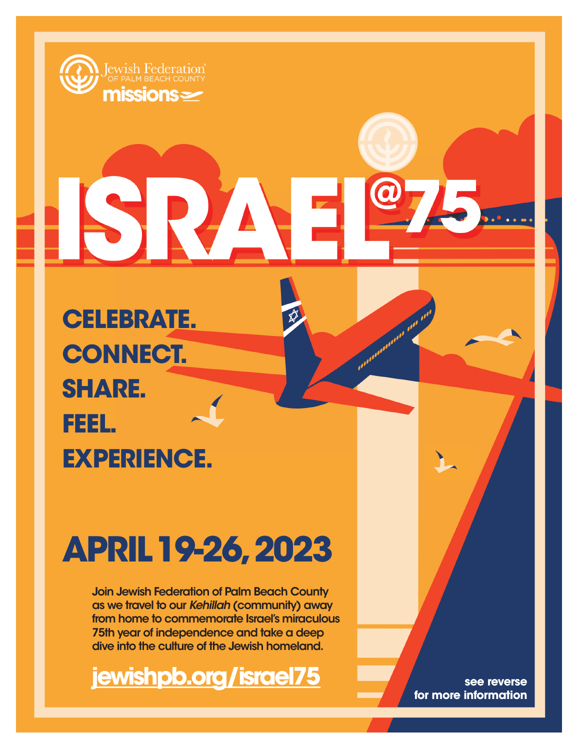

**CELEBRATE. CONNECT. SHARE. FEEL. EXPERIENCE.**

# **APRIL19-26, 2023**

Join Jewish Federation of Palm Beach County as we travel to our *Kehillah* (community) away from home to commemorate Israel's miraculous 75th year of independence and take a deep dive into the culture of the Jewish homeland.

**[jewishpb.org/israel75](https://jewishpb.org/fed/index.php/2021/11/19/israel75-mission-registration-page/) see reverse** 

**for more information**